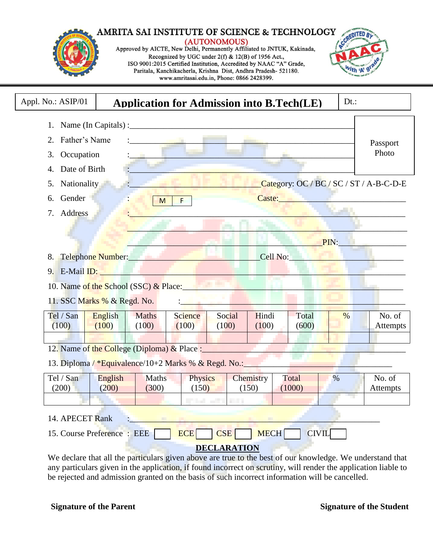#### AMRITA SAI INSTITUTE OF SCIENCE & TECHNOLOGY (AUTONOMOUS)<br>Approved by AICTE, New Delhi, Permanently Affiliated to JNTUK, Kakinada, Recognized by UGC under 2(f) & 12(B) of 1956 Act., ISO 9001:2015 Certified Institution, Accredited by NAAC "A" Grade, Paritala, Kanchikacherla, Krishna Dist, Andhra Pradesh- 521180. www.amritasai.edu.in, Phone: 0866 2428399.

| Appl. No.: ASIP/01         |                                                      | <b>Application for Admission into B.Tech(LE)</b> |                                   |                                                                                                                                                                                                                                | $Dt.$ :             |                    |
|----------------------------|------------------------------------------------------|--------------------------------------------------|-----------------------------------|--------------------------------------------------------------------------------------------------------------------------------------------------------------------------------------------------------------------------------|---------------------|--------------------|
| 1.                         |                                                      |                                                  |                                   |                                                                                                                                                                                                                                |                     |                    |
| Father's Name<br>2.        |                                                      |                                                  |                                   |                                                                                                                                                                                                                                |                     | Passport           |
| Occupation<br>3.           |                                                      |                                                  |                                   |                                                                                                                                                                                                                                |                     | Photo              |
| Date of Birth<br>4.        |                                                      |                                                  |                                   |                                                                                                                                                                                                                                |                     |                    |
| Nationality<br>5.          |                                                      |                                                  |                                   | Category: OC / BC / SC / ST / A-B-C-D-E                                                                                                                                                                                        |                     |                    |
| Gender<br>6.               | M                                                    | F                                                |                                   | Caste: Electric Caster and Caster and Caster and Caster and Caster and Caster and Caster and Caster and Caster                                                                                                                 |                     |                    |
| Address<br>7.              |                                                      |                                                  |                                   |                                                                                                                                                                                                                                |                     |                    |
|                            |                                                      |                                                  |                                   |                                                                                                                                                                                                                                |                     |                    |
|                            |                                                      |                                                  |                                   |                                                                                                                                                                                                                                | $\blacksquare$ PIN: |                    |
|                            | 8. Telephone Number:                                 |                                                  |                                   | Cell No: Note that the contract of the contract of the contract of the contract of the contract of the contract of the contract of the contract of the contract of the contract of the contract of the contract of the contrac |                     |                    |
|                            |                                                      |                                                  |                                   |                                                                                                                                                                                                                                |                     |                    |
|                            | 10. Name of the School (SSC) & Place:                |                                                  |                                   |                                                                                                                                                                                                                                |                     |                    |
|                            | 11. SSC Marks % & Regd. No.                          |                                                  |                                   |                                                                                                                                                                                                                                |                     |                    |
|                            |                                                      |                                                  |                                   |                                                                                                                                                                                                                                |                     |                    |
| Tel / San<br>(100)         | English<br><b>Maths</b><br>(100)<br>(100)            | <b>Science</b><br>(100)                          | Social<br>Hindi<br>(100)<br>(100) | Total<br>(600)                                                                                                                                                                                                                 | $\frac{0}{0}$       | No. of<br>Attempts |
|                            |                                                      |                                                  |                                   |                                                                                                                                                                                                                                |                     |                    |
|                            | 12. Name of the College (Diploma) & Place :          |                                                  |                                   |                                                                                                                                                                                                                                |                     |                    |
|                            | 13. Diploma / *Equivalence/10+2 Marks % & Regd. No.: |                                                  |                                   |                                                                                                                                                                                                                                |                     |                    |
| Tel / San<br>(200)         | English<br><b>Maths</b><br>(200)<br>(300)            | Physics<br>(150)                                 | Chemistry<br>(150)                | Total<br>(1000)                                                                                                                                                                                                                | $\%$                | No. of<br>Attempts |
|                            |                                                      | <b>State of Contracts</b>                        |                                   |                                                                                                                                                                                                                                |                     |                    |
| 14. APECET Rank            |                                                      |                                                  |                                   |                                                                                                                                                                                                                                |                     |                    |
|                            |                                                      | <b>ECE</b>                                       | <b>CSE</b><br><b>MECH</b>         | <b>CIVIL</b>                                                                                                                                                                                                                   |                     |                    |
|                            |                                                      |                                                  |                                   |                                                                                                                                                                                                                                |                     |                    |
| 15. Course Preference: EEE |                                                      |                                                  | <b>DECLARATION</b>                |                                                                                                                                                                                                                                |                     |                    |

any particulars given in the application, if found incorrect on scrutiny, will render the application liable to be rejected and admission granted on the basis of such incorrect information will be cancelled.